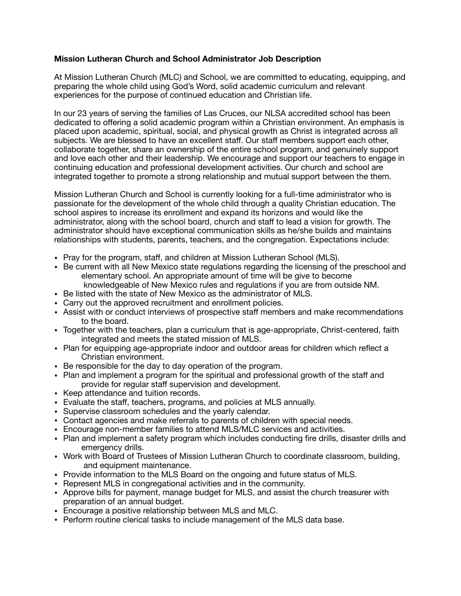## **Mission Lutheran Church and School Administrator Job Description**

At Mission Lutheran Church (MLC) and School, we are committed to educating, equipping, and preparing the whole child using God's Word, solid academic curriculum and relevant experiences for the purpose of continued education and Christian life.

In our 23 years of serving the families of Las Cruces, our NLSA accredited school has been dedicated to offering a solid academic program within a Christian environment. An emphasis is placed upon academic, spiritual, social, and physical growth as Christ is integrated across all subjects. We are blessed to have an excellent staff. Our staff members support each other, collaborate together, share an ownership of the entire school program, and genuinely support and love each other and their leadership. We encourage and support our teachers to engage in continuing education and professional development activities. Our church and school are integrated together to promote a strong relationship and mutual support between the them.

Mission Lutheran Church and School is currently looking for a full-time administrator who is passionate for the development of the whole child through a quality Christian education. The school aspires to increase its enrollment and expand its horizons and would like the administrator, along with the school board, church and staff to lead a vision for growth. The administrator should have exceptional communication skills as he/she builds and maintains relationships with students, parents, teachers, and the congregation. Expectations include:

- Pray for the program, staff, and children at Mission Lutheran School (MLS).
- Be current with all New Mexico state regulations regarding the licensing of the preschool and elementary school. An appropriate amount of time will be give to become knowledgeable of New Mexico rules and regulations if you are from outside NM.
- Be listed with the state of New Mexico as the administrator of MLS.
- Carry out the approved recruitment and enrollment policies.
- Assist with or conduct interviews of prospective staff members and make recommendations to the board.
- Together with the teachers, plan a curriculum that is age-appropriate, Christ-centered, faith integrated and meets the stated mission of MLS.
- Plan for equipping age-appropriate indoor and outdoor areas for children which reflect a Christian environment.
- Be responsible for the day to day operation of the program.
- Plan and implement a program for the spiritual and professional growth of the staff and provide for regular staff supervision and development.
- Keep attendance and tuition records.
- Evaluate the staff, teachers, programs, and policies at MLS annually.
- Supervise classroom schedules and the yearly calendar.
- Contact agencies and make referrals to parents of children with special needs.
- Encourage non-member families to attend MLS/MLC services and activities.
- Plan and implement a safety program which includes conducting fire drills, disaster drills and emergency drills.
- Work with Board of Trustees of Mission Lutheran Church to coordinate classroom, building, and equipment maintenance.
- Provide information to the MLS Board on the ongoing and future status of MLS.
- Represent MLS in congregational activities and in the community.
- Approve bills for payment, manage budget for MLS, and assist the church treasurer with preparation of an annual budget.
- Encourage a positive relationship between MLS and MLC.
- Perform routine clerical tasks to include management of the MLS data base.